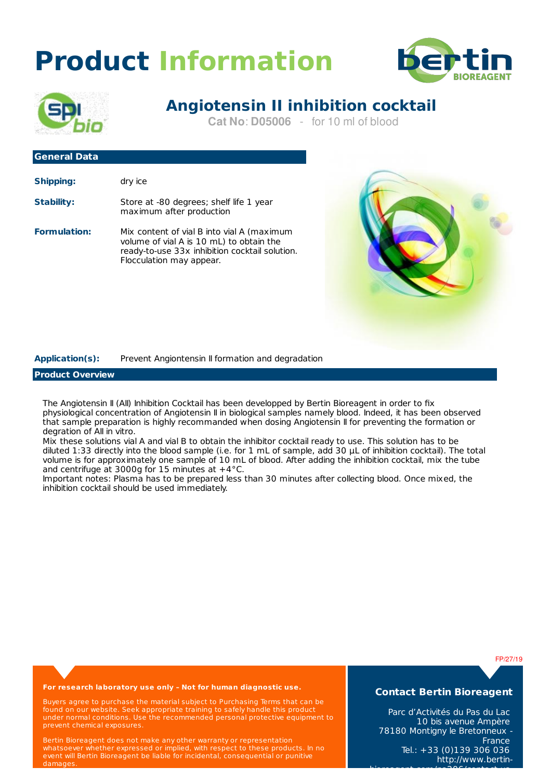# **Product Information**





# **Angiotensin II inhibition cocktail**

**Cat No**: **D05006** - for 10 ml of blood

## **General Data Shipping:** dry ice

| Stability: | Store at -80 degrees; shelf life 1 year |
|------------|-----------------------------------------|
|            | maximum after production                |

**Formulation:** Mix content of vial B into vial A (maximum volume of vial A is 10 mL) to obtain the ready-to-use 33x inhibition cocktail solution. Flocculation may appear.



## **Application(s):** Prevent Angiontensin II formation and degradation

### **Product Overview**

The Angiotensin II (AII) Inhibition Cocktail has been developped by Bertin Bioreagent in order to fix physiological concentration of Angiotensin II in biological samples namely blood. Indeed, it has been observed that sample preparation is highly recommanded when dosing Angiotensin II for preventing the formation or degration of AII in vitro.

Mix these solutions vial A and vial B to obtain the inhibitor cocktail ready to use. This solution has to be diluted 1:33 directly into the blood sample (i.e. for 1 mL of sample, add 30 μL of inhibition cocktail). The total volume is for approximately one sample of 10 mL of blood. After adding the inhibition cocktail, mix the tube and centrifuge at 3000g for 15 minutes at  $+4^{\circ}$ C.

Important notes: Plasma has to be prepared less than 30 minutes after collecting blood. Once mixed, the inhibition cocktail should be used immediately.

FP/27/19

#### **For research laboratory use only – Not for human diagnostic use.**

Buyers agree to purchase the material subject to Purchasing Terms that can be found on our website. Seek appropriate training to safely handle this product under normal conditions. Use the recommended personal protective equipment to prevent chemical exposures.

Bertin Bioreagent does not make any other warranty or representation whatsoever whether expressed or implied, with respect to these products. In no event will Bertin Bioreagent be liable for incidental, consequential or punitive damages.

**Contact Bertin Bioreagent**

Parc d'Activités du Pas du Lac 10 bis avenue Ampère 78180 Montigny le Bretonneux - France Tel.: +33 (0)139 306 036 http://www.bertin-

bioreagent.com/pa206/contact-us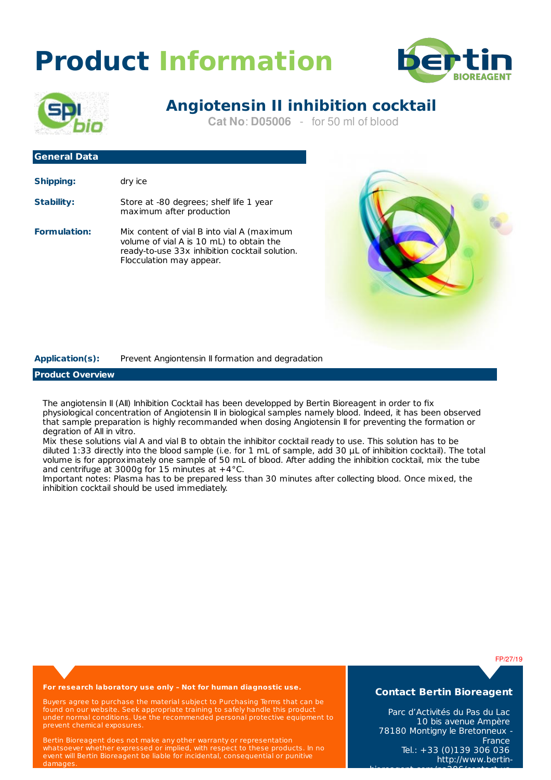# **Product Information**





# **Angiotensin II inhibition cocktail**

**Cat No**: **D05006** - for 50 ml of blood

## **General Data Shipping:** dry ice

| Stability: | Store at -80 degrees; shelf life 1 year |
|------------|-----------------------------------------|
|            | maximum after production                |

**Formulation:** Mix content of vial B into vial A (maximum volume of vial A is 10 mL) to obtain the ready-to-use 33x inhibition cocktail solution. Flocculation may appear.



## **Application(s):** Prevent Angiontensin II formation and degradation

### **Product Overview**

The angiotensin II (AII) Inhibition Cocktail has been developped by Bertin Bioreagent in order to fix physiological concentration of Angiotensin II in biological samples namely blood. Indeed, it has been observed that sample preparation is highly recommanded when dosing Angiotensin II for preventing the formation or degration of AII in vitro.

Mix these solutions vial A and vial B to obtain the inhibitor cocktail ready to use. This solution has to be diluted 1:33 directly into the blood sample (i.e. for 1 mL of sample, add 30 μL of inhibition cocktail). The total volume is for approximately one sample of 50 mL of blood. After adding the inhibition cocktail, mix the tube and centrifuge at 3000g for 15 minutes at  $+4^{\circ}$ C.

Important notes: Plasma has to be prepared less than 30 minutes after collecting blood. Once mixed, the inhibition cocktail should be used immediately.

FP/27/19

#### **For research laboratory use only – Not for human diagnostic use.**

Buyers agree to purchase the material subject to Purchasing Terms that can be found on our website. Seek appropriate training to safely handle this product under normal conditions. Use the recommended personal protective equipment to prevent chemical exposures.

Bertin Bioreagent does not make any other warranty or representation whatsoever whether expressed or implied, with respect to these products. In no event will Bertin Bioreagent be liable for incidental, consequential or punitive damages.

**Contact Bertin Bioreagent**

Parc d'Activités du Pas du Lac 10 bis avenue Ampère 78180 Montigny le Bretonneux - **France** Tel.: +33 (0)139 306 036 http://www.bertin-

bioreagent.com/pa206/contact-us